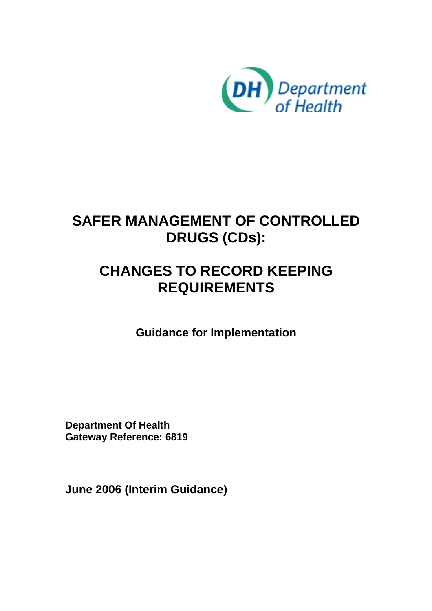

# **SAFER MANAGEMENT OF CONTROLLED DRUGS (CDs):**

# **CHANGES TO RECORD KEEPING REQUIREMENTS**

**Guidance for Implementation** 

**Department Of Health Gateway Reference: 6819** 

**June 2006 (Interim Guidance)**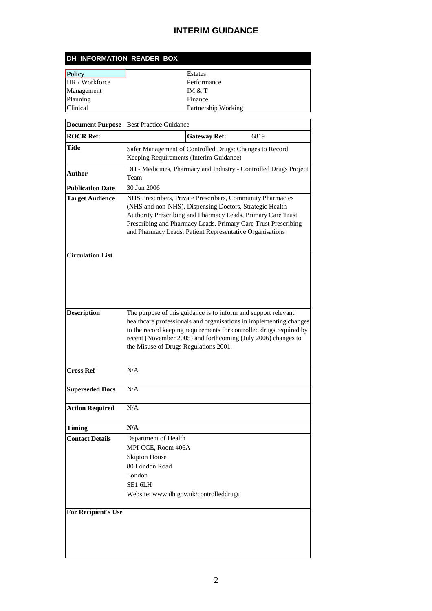| DH INFORMATION READER BOX |                     |  |
|---------------------------|---------------------|--|
| Policy                    | <b>Estates</b>      |  |
| HR / Workforce            | Performance         |  |
| Management                | IM $&T$             |  |
| Planning                  | Finance             |  |
| <b>Clinical</b>           | Partnership Working |  |

|                            | <b>Document Purpose</b> Best Practice Guidance                                                                                                                                                                                                                                                                        |
|----------------------------|-----------------------------------------------------------------------------------------------------------------------------------------------------------------------------------------------------------------------------------------------------------------------------------------------------------------------|
| <b>ROCR Ref:</b>           | <b>Gateway Ref:</b><br>6819                                                                                                                                                                                                                                                                                           |
| Title                      | Safer Management of Controlled Drugs: Changes to Record<br>Keeping Requirements (Interim Guidance)                                                                                                                                                                                                                    |
| Author                     | DH - Medicines, Pharmacy and Industry - Controlled Drugs Project<br>Team                                                                                                                                                                                                                                              |
| <b>Publication Date</b>    | 30 Jun 2006                                                                                                                                                                                                                                                                                                           |
| <b>Target Audience</b>     | NHS Prescribers, Private Prescribers, Community Pharmacies<br>(NHS and non-NHS), Dispensing Doctors, Strategic Health<br>Authority Prescribing and Pharmacy Leads, Primary Care Trust<br>Prescribing and Pharmacy Leads, Primary Care Trust Prescribing<br>and Pharmacy Leads, Patient Representative Organisations   |
| <b>Circulation List</b>    |                                                                                                                                                                                                                                                                                                                       |
| <b>Description</b>         | The purpose of this guidance is to inform and support relevant<br>healthcare professionals and organisations in implementing changes<br>to the record keeping requirements for controlled drugs required by<br>recent (November 2005) and forthcoming (July 2006) changes to<br>the Misuse of Drugs Regulations 2001. |
| <b>Cross Ref</b>           | N/A                                                                                                                                                                                                                                                                                                                   |
| <b>Superseded Docs</b>     | N/A                                                                                                                                                                                                                                                                                                                   |
| <b>Action Required</b>     | N/A                                                                                                                                                                                                                                                                                                                   |
| Timing                     | N/A                                                                                                                                                                                                                                                                                                                   |
| <b>Contact Details</b>     | Department of Health<br>MPI-CCE, Room 406A<br><b>Skipton House</b><br>80 London Road<br>London<br>SE1 6LH<br>Website: www.dh.gov.uk/controlleddrugs                                                                                                                                                                   |
| <b>For Recipient's Use</b> |                                                                                                                                                                                                                                                                                                                       |

<u> 1980 - Johann Barn, mars ar breithinn ar chuid ann an t-Alban ann an t-Alban ann an t-Alban ann an t-Alban a</u>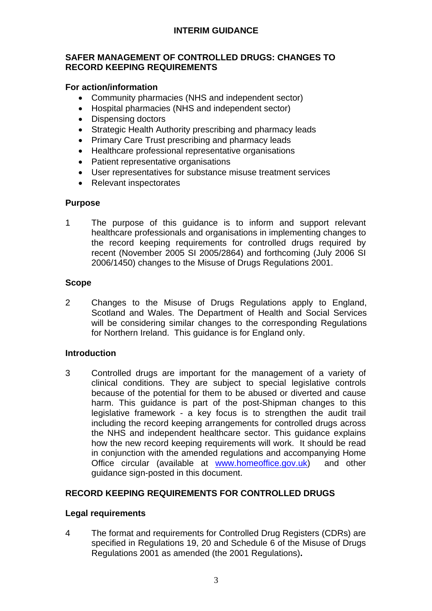#### **SAFER MANAGEMENT OF CONTROLLED DRUGS: CHANGES TO RECORD KEEPING REQUIREMENTS**

## **For action/information**

- Community pharmacies (NHS and independent sector)
- Hospital pharmacies (NHS and independent sector)
- Dispensing doctors
- Strategic Health Authority prescribing and pharmacy leads
- Primary Care Trust prescribing and pharmacy leads
- Healthcare professional representative organisations
- Patient representative organisations
- User representatives for substance misuse treatment services
- Relevant inspectorates

## **Purpose**

1 The purpose of this guidance is to inform and support relevant healthcare professionals and organisations in implementing changes to the record keeping requirements for controlled drugs required by recent (November 2005 SI 2005/2864) and forthcoming (July 2006 SI 2006/1450) changes to the Misuse of Drugs Regulations 2001.

## **Scope**

2 Changes to the Misuse of Drugs Regulations apply to England, Scotland and Wales. The Department of Health and Social Services will be considering similar changes to the corresponding Regulations for Northern Ireland. This guidance is for England only.

#### **Introduction**

3 Controlled drugs are important for the management of a variety of clinical conditions. They are subject to special legislative controls because of the potential for them to be abused or diverted and cause harm. This guidance is part of the post-Shipman changes to this legislative framework - a key focus is to strengthen the audit trail including the record keeping arrangements for controlled drugs across the NHS and independent healthcare sector. This guidance explains how the new record keeping requirements will work. It should be read in conjunction with the amended regulations and accompanying Home Office circular (available at www.homeoffice.gov.uk) and other guidance sign-posted in this document.

## **RECORD KEEPING REQUIREMENTS FOR CONTROLLED DRUGS**

#### **Legal requirements**

4 The format and requirements for Controlled Drug Registers (CDRs) are specified in Regulations 19, 20 and Schedule 6 of the Misuse of Drugs Regulations 2001 as amended (the 2001 Regulations)**.**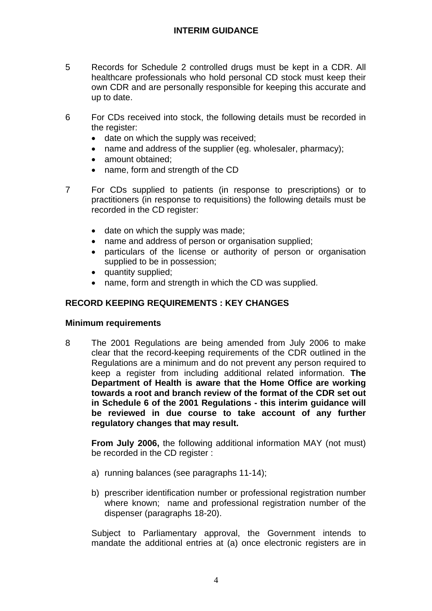- 5 Records for Schedule 2 controlled drugs must be kept in a CDR. All healthcare professionals who hold personal CD stock must keep their own CDR and are personally responsible for keeping this accurate and up to date.
- 6 For CDs received into stock, the following details must be recorded in the register:
	- date on which the supply was received;
	- name and address of the supplier (eg. wholesaler, pharmacy);
	- amount obtained:
	- name, form and strength of the CD
- 7 For CDs supplied to patients (in response to prescriptions) or to practitioners (in response to requisitions) the following details must be recorded in the CD register:
	- date on which the supply was made;
	- name and address of person or organisation supplied;
	- particulars of the license or authority of person or organisation supplied to be in possession;
	- quantity supplied;
	- name, form and strength in which the CD was supplied.

## **RECORD KEEPING REQUIREMENTS : KEY CHANGES**

#### **Minimum requirements**

8 The 2001 Regulations are being amended from July 2006 to make clear that the record-keeping requirements of the CDR outlined in the Regulations are a minimum and do not prevent any person required to keep a register from including additional related information. **The Department of Health is aware that the Home Office are working towards a root and branch review of the format of the CDR set out in Schedule 6 of the 2001 Regulations - this interim guidance will be reviewed in due course to take account of any further regulatory changes that may result.** 

**From July 2006,** the following additional information MAY (not must) be recorded in the CD register :

- a) running balances (see paragraphs 11-14);
- b) prescriber identification number or professional registration number where known; name and professional registration number of the dispenser (paragraphs 18-20).

Subject to Parliamentary approval, the Government intends to mandate the additional entries at (a) once electronic registers are in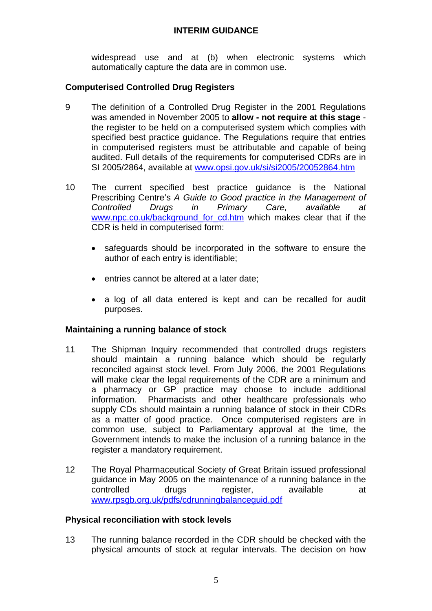widespread use and at (b) when electronic systems which automatically capture the data are in common use.

## **Computerised Controlled Drug Registers**

- 9 The definition of a Controlled Drug Register in the 2001 Regulations was amended in November 2005 to **allow - not require at this stage** the register to be held on a computerised system which complies with specified best practice guidance. The Regulations require that entries in computerised registers must be attributable and capable of being audited. Full details of the requirements for computerised CDRs are in SI 2005/2864, available at www.opsi.gov.uk/si/si2005/20052864.htm
- 10 The current specified best practice guidance is the National Prescribing Centre's *A Guide to Good practice in the Management of Controlled Drugs in Primary Care, available at*  www.npc.co.uk/background for cd.htm which makes clear that if the CDR is held in computerised form:
	- safeguards should be incorporated in the software to ensure the author of each entry is identifiable;
	- entries cannot be altered at a later date;
	- a log of all data entered is kept and can be recalled for audit purposes.

#### **Maintaining a running balance of stock**

- 11 The Shipman Inquiry recommended that controlled drugs registers should maintain a running balance which should be regularly reconciled against stock level. From July 2006, the 2001 Regulations will make clear the legal requirements of the CDR are a minimum and a pharmacy or GP practice may choose to include additional information. Pharmacists and other healthcare professionals who supply CDs should maintain a running balance of stock in their CDRs as a matter of good practice. Once computerised registers are in common use, subject to Parliamentary approval at the time, the Government intends to make the inclusion of a running balance in the register a mandatory requirement.
- 12 The Royal Pharmaceutical Society of Great Britain issued professional guidance in May 2005 on the maintenance of a running balance in the controlled drugs register, available at www.rpsgb.org.uk/pdfs/cdrunningbalanceguid.pdf

#### **Physical reconciliation with stock levels**

13 The running balance recorded in the CDR should be checked with the physical amounts of stock at regular intervals. The decision on how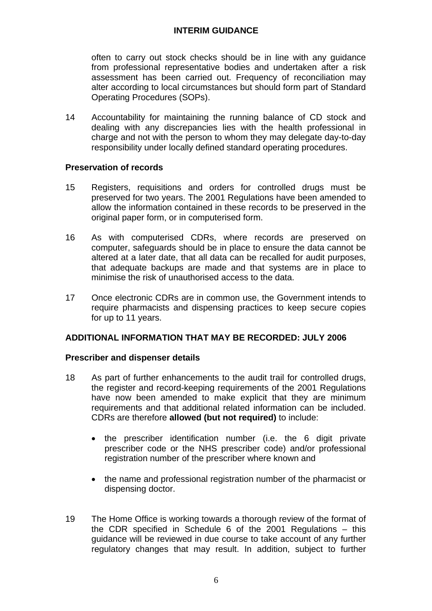often to carry out stock checks should be in line with any guidance from professional representative bodies and undertaken after a risk assessment has been carried out. Frequency of reconciliation may alter according to local circumstances but should form part of Standard Operating Procedures (SOPs).

14 Accountability for maintaining the running balance of CD stock and dealing with any discrepancies lies with the health professional in charge and not with the person to whom they may delegate day-to-day responsibility under locally defined standard operating procedures.

#### **Preservation of records**

- 15 Registers, requisitions and orders for controlled drugs must be preserved for two years. The 2001 Regulations have been amended to allow the information contained in these records to be preserved in the original paper form, or in computerised form.
- 16 As with computerised CDRs, where records are preserved on computer, safeguards should be in place to ensure the data cannot be altered at a later date, that all data can be recalled for audit purposes, that adequate backups are made and that systems are in place to minimise the risk of unauthorised access to the data.
- 17 Once electronic CDRs are in common use, the Government intends to require pharmacists and dispensing practices to keep secure copies for up to 11 years.

#### **ADDITIONAL INFORMATION THAT MAY BE RECORDED: JULY 2006**

#### **Prescriber and dispenser details**

- 18 As part of further enhancements to the audit trail for controlled drugs, the register and record-keeping requirements of the 2001 Regulations have now been amended to make explicit that they are minimum requirements and that additional related information can be included. CDRs are therefore **allowed (but not required)** to include:
	- the prescriber identification number (i.e. the 6 digit private prescriber code or the NHS prescriber code) and/or professional registration number of the prescriber where known and
	- the name and professional registration number of the pharmacist or dispensing doctor.
- 19 The Home Office is working towards a thorough review of the format of the CDR specified in Schedule 6 of the 2001 Regulations – this guidance will be reviewed in due course to take account of any further regulatory changes that may result. In addition, subject to further